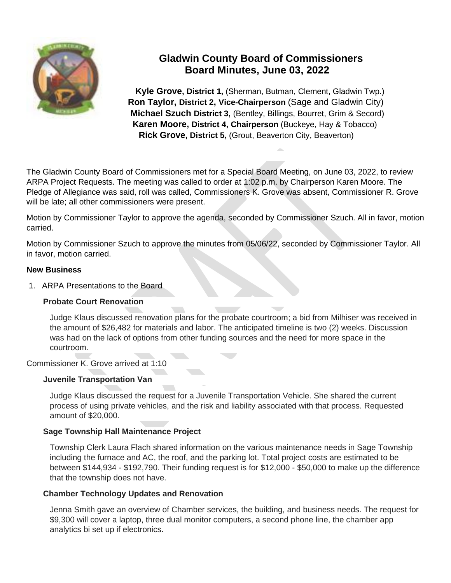

# **Gladwin County Board of Commissioners Board Minutes, June 03, 2022**

 **Kyle Grove, District 1,** (Sherman, Butman, Clement, Gladwin Twp.)  **Ron Taylor, District 2, Vice-Chairperson** (Sage and Gladwin City)  **Michael Szuch District 3,** (Bentley, Billings, Bourret, Grim & Secord) **Karen Moore, District 4, Chairperson** (Buckeye, Hay & Tobacco)  **Rick Grove, District 5,** (Grout, Beaverton City, Beaverton)

The Gladwin County Board of Commissioners met for a Special Board Meeting, on June 03, 2022, to review ARPA Project Requests. The meeting was called to order at 1:02 p.m. by Chairperson Karen Moore. The Pledge of Allegiance was said, roll was called, Commissioners K. Grove was absent, Commissioner R. Grove will be late; all other commissioners were present.

Motion by Commissioner Taylor to approve the agenda, seconded by Commissioner Szuch. All in favor, motion carried.

Motion by Commissioner Szuch to approve the minutes from 05/06/22, seconded by Commissioner Taylor. All in favor, motion carried.

### **New Business**

1. ARPA Presentations to the Board

### **Probate Court Renovation**

Judge Klaus discussed renovation plans for the probate courtroom; a bid from Milhiser was received in the amount of \$26,482 for materials and labor. The anticipated timeline is two (2) weeks. Discussion was had on the lack of options from other funding sources and the need for more space in the courtroom.

### Commissioner K. Grove arrived at 1:10

### **Juvenile Transportation Van**

Judge Klaus discussed the request for a Juvenile Transportation Vehicle. She shared the current process of using private vehicles, and the risk and liability associated with that process. Requested amount of \$20,000.

### **Sage Township Hall Maintenance Project**

Township Clerk Laura Flach shared information on the various maintenance needs in Sage Township including the furnace and AC, the roof, and the parking lot. Total project costs are estimated to be between \$144,934 - \$192,790. Their funding request is for \$12,000 - \$50,000 to make up the difference that the township does not have.

### **Chamber Technology Updates and Renovation**

Jenna Smith gave an overview of Chamber services, the building, and business needs. The request for \$9,300 will cover a laptop, three dual monitor computers, a second phone line, the chamber app analytics bi set up if electronics.